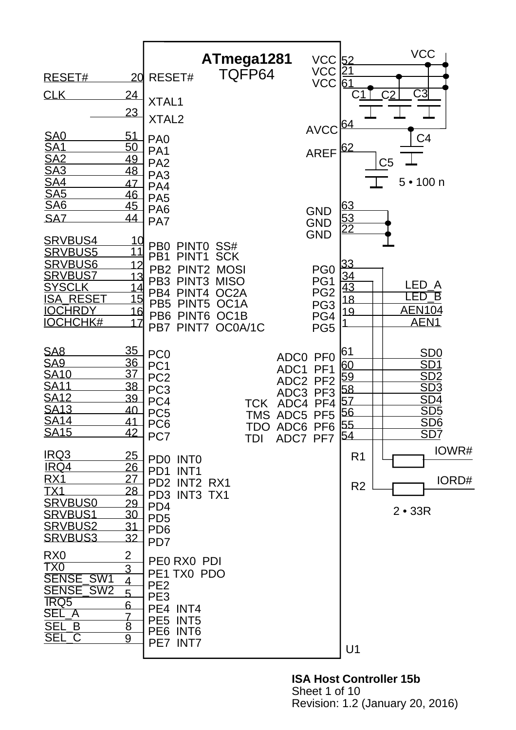|                                   |                                  |                                                                              | ATmega1281                             | $VCC$ 52                                                       |                       | <b>VCC</b>                                                    |
|-----------------------------------|----------------------------------|------------------------------------------------------------------------------|----------------------------------------|----------------------------------------------------------------|-----------------------|---------------------------------------------------------------|
| RESET#                            | <u>20</u>                        | RESET#                                                                       | TQFP64                                 | VCC<br>VCC                                                     | <u> 21</u><br>61      |                                                               |
| <b>CLK</b>                        | <u>24</u>                        | XTAL1                                                                        |                                        |                                                                |                       | C3                                                            |
|                                   | <u>23</u>                        | XTAL <sub>2</sub>                                                            |                                        | <b>AVCC</b>                                                    | 64                    |                                                               |
| <u>SA0</u><br><u>SA1</u>          | 51<br><u>50</u>                  | PA <sub>0</sub><br>PA <sub>1</sub>                                           |                                        |                                                                | 62                    | C <sub>4</sub>                                                |
| <b>SA2</b>                        | <u>49</u><br>48                  | PA <sub>2</sub>                                                              |                                        | <b>AREF</b>                                                    |                       | C <sub>5</sub>                                                |
| $\frac{SA3}{SA4}$<br><u>SA5</u>   | 47<br>46                         | PA <sub>3</sub><br>PA4                                                       |                                        |                                                                |                       | $5 \cdot 100$ n                                               |
| <u>SA6</u>                        | <u>45</u>                        | PA <sub>5</sub><br>PA <sub>6</sub>                                           |                                        | <b>GND</b>                                                     | 63                    |                                                               |
| <b>SAZ</b>                        | 44                               | PA7                                                                          |                                        | <b>GND</b><br><b>GND</b>                                       | $\frac{53}{22}$       |                                                               |
| <b>SRVBUS4</b><br><b>SRVBUS5</b>  | 10<br>11                         | PB <sub>0</sub><br>PINT <sub>0</sub><br>PB <sub>1</sub><br>PINT1             | SS#<br><b>SCK</b>                      |                                                                |                       |                                                               |
| <b>SRVBUS6</b><br><b>SRVBUS7</b>  | 12                               | PB <sub>2</sub><br>PINT <sub>2</sub><br>PB <sub>3</sub><br>PINT <sub>3</sub> | <b>MOSI</b>                            | PG <sub>0</sub>                                                | 33                    |                                                               |
| <b>SYSCLK</b><br><u>ISA RESET</u> | <u> 15</u>                       | PB <sub>4</sub><br>PINT4                                                     | <b>MISO</b><br>OC <sub>2</sub> A       | PG1<br>PG <sub>2</sub>                                         | $\frac{34}{43}$<br>18 | LED A<br>LED<br><b>下</b>                                      |
| <u>IOCHRDY</u><br><b>IOCHCHK#</b> | <u> 16</u><br>17                 | PB <sub>5</sub><br>PINT <sub>5</sub><br>PB <sub>6</sub><br>PINT <sub>6</sub> | OC <sub>1</sub> A<br>OC <sub>1</sub> B | PG <sub>3</sub><br>PG4                                         | 19                    | <b>AEN104</b><br>AEN <sub>1</sub>                             |
|                                   |                                  | PB7 PINT7 OC0A/1C                                                            |                                        | PG <sub>5</sub>                                                |                       |                                                               |
| <b>SA8</b><br>SA <sub>9</sub>     | <u>35</u><br>36                  | PC <sub>0</sub><br>PC <sub>1</sub>                                           |                                        | ADC0<br>PF <sub>0</sub>                                        | 61<br><u>60</u>       | SD <sub>0</sub><br>SD <sub>1</sub>                            |
| <b>SA10</b><br><b>SA11</b>        | <u>37</u><br>38                  | PC <sub>2</sub><br>PC <sub>3</sub>                                           |                                        | PF <sub>1</sub><br>ADC1<br>ADC <sub>2</sub><br>PF <sub>2</sub> | <u>59</u><br>58       | <u>SD2</u><br>SD3                                             |
| <b>SA12</b><br><u>SA13</u>        | 39<br>40                         | PC4                                                                          | <b>TCK</b>                             | ADC3<br>PF <sub>3</sub><br>ADC4<br>PF <sub>4</sub>             | 57                    | <u>SD4</u>                                                    |
| <b>SA14</b><br><b>SA15</b>        | 41<br>42                         | PC <sub>5</sub><br>PC <sub>6</sub>                                           | <b>TDO</b>                             | TMS ADC5<br>PF <sub>5</sub><br>ADC6<br>PF <sub>6</sub>         | <u>56</u><br>55       | $\frac{\overline{\text{SD5}}}{\text{SD6}}$<br>SD <sub>7</sub> |
| IRQ3                              |                                  | PC7                                                                          | TDI                                    | ADC7 PF7 54                                                    |                       | IOWR#                                                         |
| <b>IRQ4</b>                       | <u>25</u><br><u>26</u>           | PD0 INTO<br>PD <sub>1</sub><br>INT <sub>1</sub>                              |                                        |                                                                | R <sub>1</sub>        |                                                               |
| <b>RX1</b><br><u>TX1</u>          | 27<br><u>28 </u>                 | PD2 INT2 RX1<br>PD3 INT3 TX1                                                 |                                        |                                                                | R <sub>2</sub>        | IORD#                                                         |
| <b>SRVBUS0</b><br>SRVBUS1         | 29<br>30                         | PD <sub>4</sub><br>PD <sub>5</sub>                                           |                                        |                                                                |                       | $2 \cdot 33R$                                                 |
| <b>SRVBUS2</b><br><b>SRVBUS3</b>  | 31<br>32                         | PD <sub>6</sub><br>PD7                                                       |                                        |                                                                |                       |                                                               |
| R <sub>X0</sub>                   | 2                                | PEO RXO PDI                                                                  |                                        |                                                                |                       |                                                               |
| TX <sub>0</sub><br>SENSE_SW1      | 3<br>$\overline{4}$              | PE1 TX0 PDO<br>PE <sub>2</sub>                                               |                                        |                                                                |                       |                                                               |
| SENSE_SW2<br><b>IRQ5</b>          | 5<br>6                           | PE3                                                                          |                                        |                                                                |                       |                                                               |
| SEL_A<br>SEL_B                    | $\overline{7}$<br>$\overline{8}$ | PE4 INT4<br>PE5 INT5                                                         |                                        |                                                                |                       |                                                               |
| SEL_C                             | 9                                | PE6 INT6<br>PE7 INT7                                                         |                                        |                                                                | U1                    |                                                               |
|                                   |                                  |                                                                              |                                        |                                                                |                       |                                                               |

**ISA Host Controller 15b** Sheet 1 of 10 Revision: 1.2 (January 20, 2016)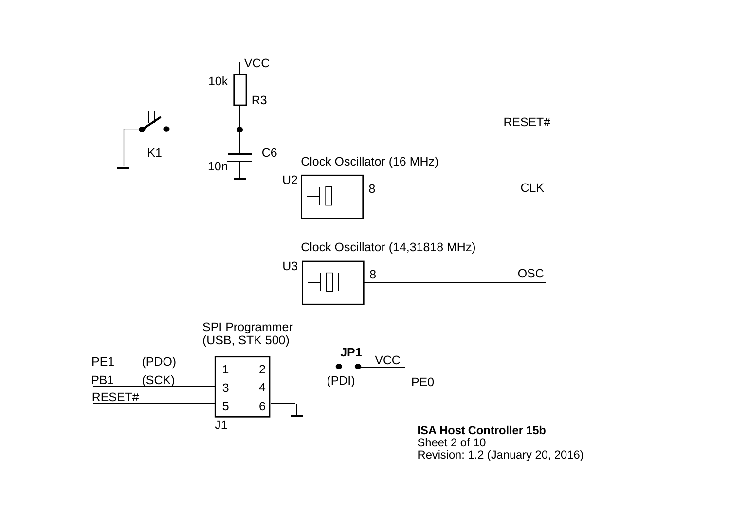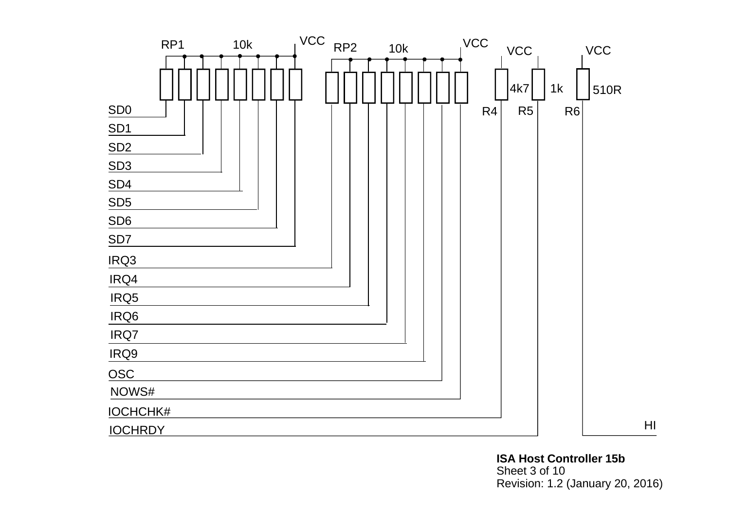

**ISA Host Controller 15b**Sheet 3 of 10 Revision: 1.2 (January 20, 2016)

HI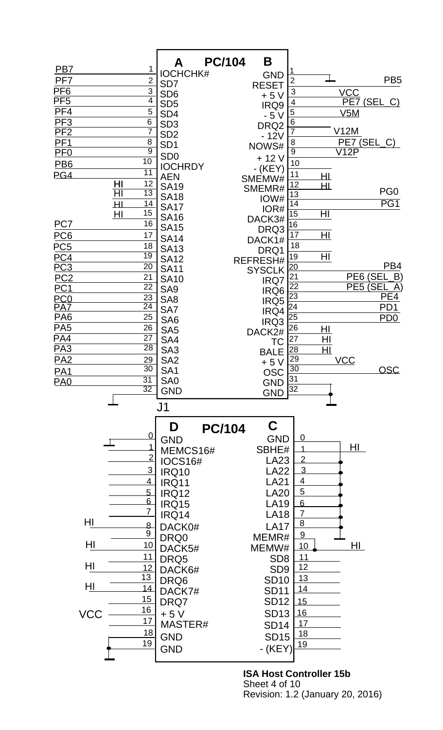

**ISA Host Controller 15b** Sheet 4 of 10 Revision: 1.2 (January 20, 2016)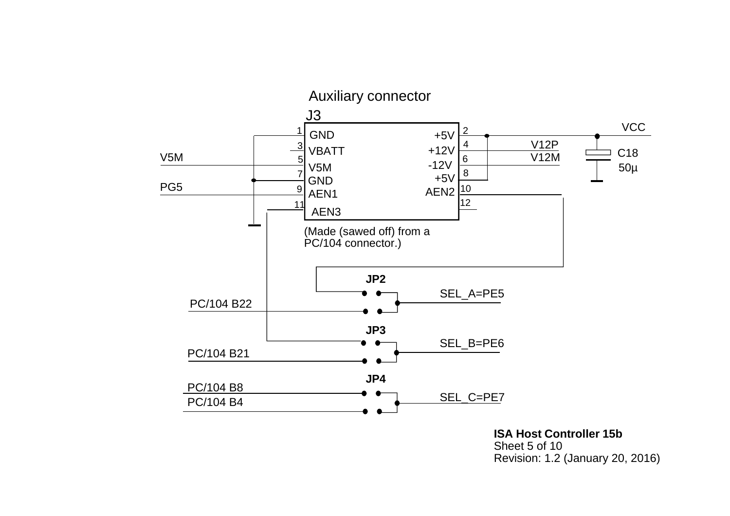

**ISA Host Controller 15b**Sheet 5 of 10Revision: 1.2 (January 20, 2016)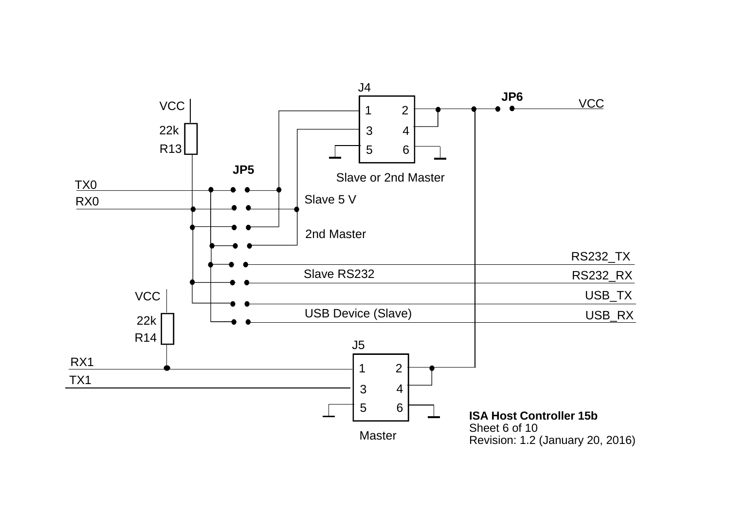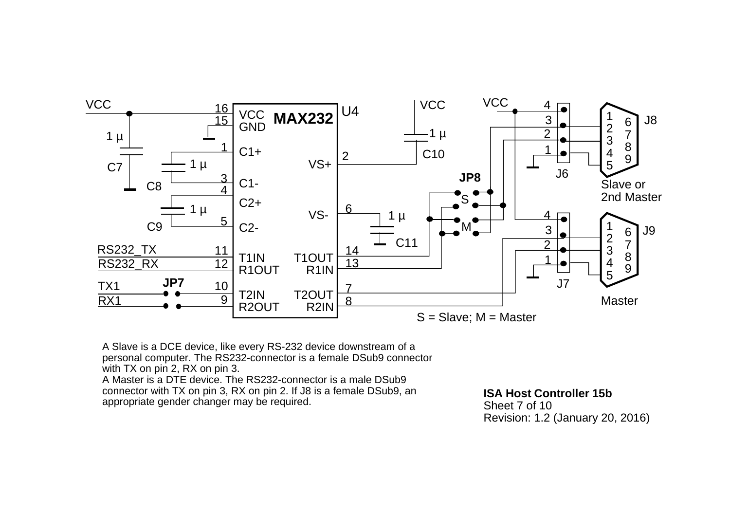

A Slave is a DCE device, like every RS-232 device downstream of a personal computer. The RS232-connector is a female DSub9 connector with TX on pin 2, RX on pin 3. A Master is a DTE device. The RS232-connector is a male DSub9 connector with TX on pin 3, RX on pin 2. If J8 is a female DSub9, an appropriate gender changer may be required.

**ISA Host Controller 15b**Sheet 7 of 10Revision: 1.2 (January 20, 2016)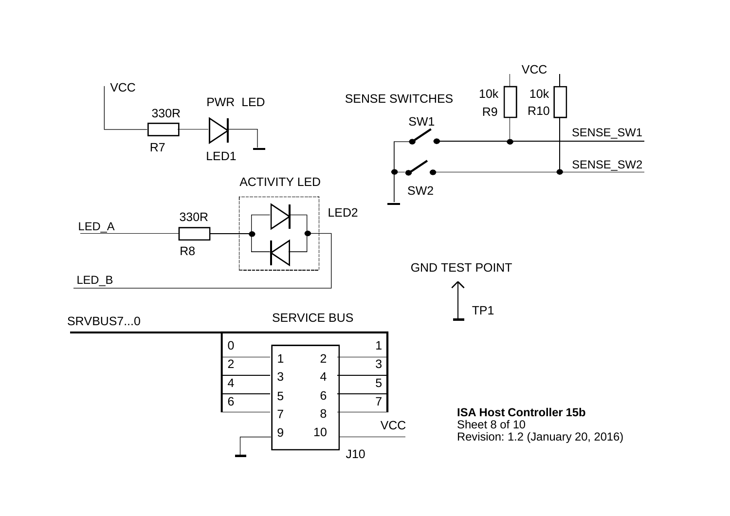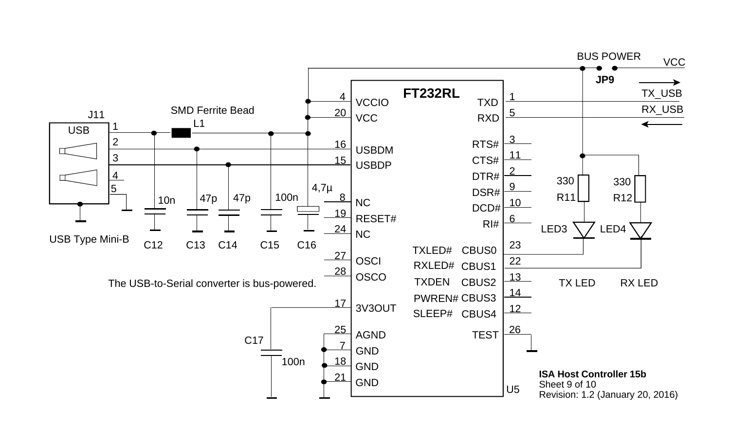